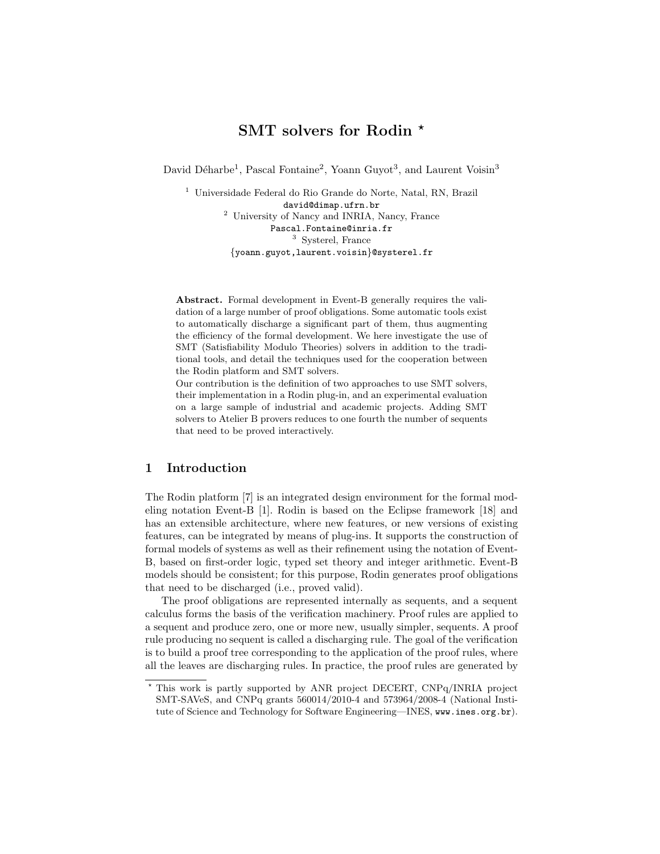# SMT solvers for Rodin  $*$

David Déharbe<sup>1</sup>, Pascal Fontaine<sup>2</sup>, Yoann Guyot<sup>3</sup>, and Laurent Voisin<sup>3</sup>

<sup>1</sup> Universidade Federal do Rio Grande do Norte, Natal, RN, Brazil david@dimap.ufrn.br <sup>2</sup> University of Nancy and INRIA, Nancy, France Pascal.Fontaine@inria.fr <sup>3</sup> Systerel, France {yoann.guyot,laurent.voisin}@systerel.fr

Abstract. Formal development in Event-B generally requires the validation of a large number of proof obligations. Some automatic tools exist to automatically discharge a significant part of them, thus augmenting the efficiency of the formal development. We here investigate the use of SMT (Satisfiability Modulo Theories) solvers in addition to the traditional tools, and detail the techniques used for the cooperation between the Rodin platform and SMT solvers.

Our contribution is the definition of two approaches to use SMT solvers, their implementation in a Rodin plug-in, and an experimental evaluation on a large sample of industrial and academic projects. Adding SMT solvers to Atelier B provers reduces to one fourth the number of sequents that need to be proved interactively.

## 1 Introduction

The Rodin platform [7] is an integrated design environment for the formal modeling notation Event-B [1]. Rodin is based on the Eclipse framework [18] and has an extensible architecture, where new features, or new versions of existing features, can be integrated by means of plug-ins. It supports the construction of formal models of systems as well as their refinement using the notation of Event-B, based on first-order logic, typed set theory and integer arithmetic. Event-B models should be consistent; for this purpose, Rodin generates proof obligations that need to be discharged (i.e., proved valid).

The proof obligations are represented internally as sequents, and a sequent calculus forms the basis of the verification machinery. Proof rules are applied to a sequent and produce zero, one or more new, usually simpler, sequents. A proof rule producing no sequent is called a discharging rule. The goal of the verification is to build a proof tree corresponding to the application of the proof rules, where all the leaves are discharging rules. In practice, the proof rules are generated by

<sup>?</sup> This work is partly supported by ANR project DECERT, CNPq/INRIA project SMT-SAVeS, and CNPq grants 560014/2010-4 and 573964/2008-4 (National Institute of Science and Technology for Software Engineering—INES, www.ines.org.br).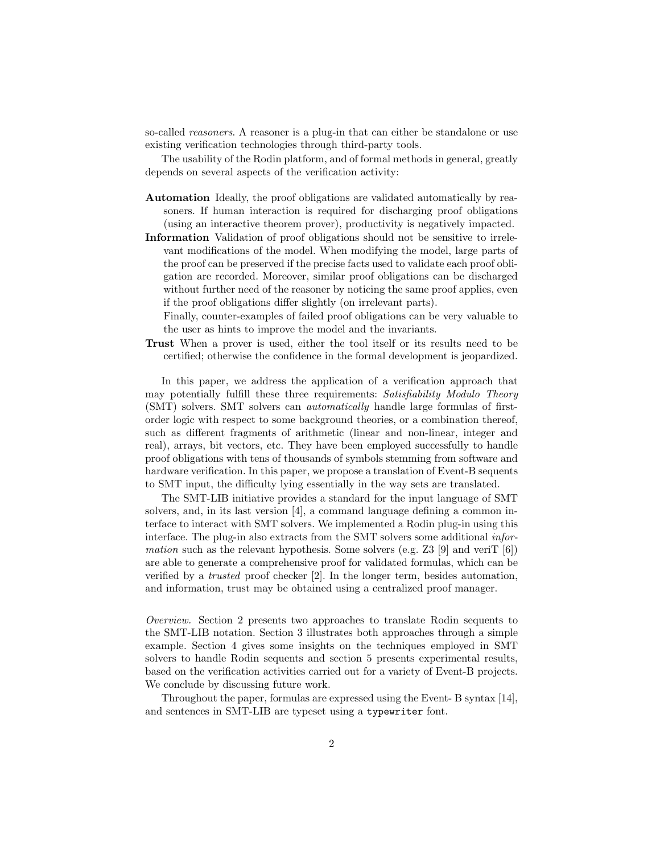so-called reasoners. A reasoner is a plug-in that can either be standalone or use existing verification technologies through third-party tools.

The usability of the Rodin platform, and of formal methods in general, greatly depends on several aspects of the verification activity:

- Automation Ideally, the proof obligations are validated automatically by reasoners. If human interaction is required for discharging proof obligations (using an interactive theorem prover), productivity is negatively impacted.
- Information Validation of proof obligations should not be sensitive to irrelevant modifications of the model. When modifying the model, large parts of the proof can be preserved if the precise facts used to validate each proof obligation are recorded. Moreover, similar proof obligations can be discharged without further need of the reasoner by noticing the same proof applies, even if the proof obligations differ slightly (on irrelevant parts).

Finally, counter-examples of failed proof obligations can be very valuable to the user as hints to improve the model and the invariants.

Trust When a prover is used, either the tool itself or its results need to be certified; otherwise the confidence in the formal development is jeopardized.

In this paper, we address the application of a verification approach that may potentially fulfill these three requirements: Satisfiability Modulo Theory (SMT) solvers. SMT solvers can automatically handle large formulas of firstorder logic with respect to some background theories, or a combination thereof, such as different fragments of arithmetic (linear and non-linear, integer and real), arrays, bit vectors, etc. They have been employed successfully to handle proof obligations with tens of thousands of symbols stemming from software and hardware verification. In this paper, we propose a translation of Event-B sequents to SMT input, the difficulty lying essentially in the way sets are translated.

The SMT-LIB initiative provides a standard for the input language of SMT solvers, and, in its last version [4], a command language defining a common interface to interact with SMT solvers. We implemented a Rodin plug-in using this interface. The plug-in also extracts from the SMT solvers some additional infor*mation* such as the relevant hypothesis. Some solvers (e.g.  $Z3$  [9] and verit [6]) are able to generate a comprehensive proof for validated formulas, which can be verified by a trusted proof checker [2]. In the longer term, besides automation, and information, trust may be obtained using a centralized proof manager.

Overview. Section 2 presents two approaches to translate Rodin sequents to the SMT-LIB notation. Section 3 illustrates both approaches through a simple example. Section 4 gives some insights on the techniques employed in SMT solvers to handle Rodin sequents and section 5 presents experimental results, based on the verification activities carried out for a variety of Event-B projects. We conclude by discussing future work.

Throughout the paper, formulas are expressed using the Event- B syntax [14], and sentences in SMT-LIB are typeset using a typewriter font.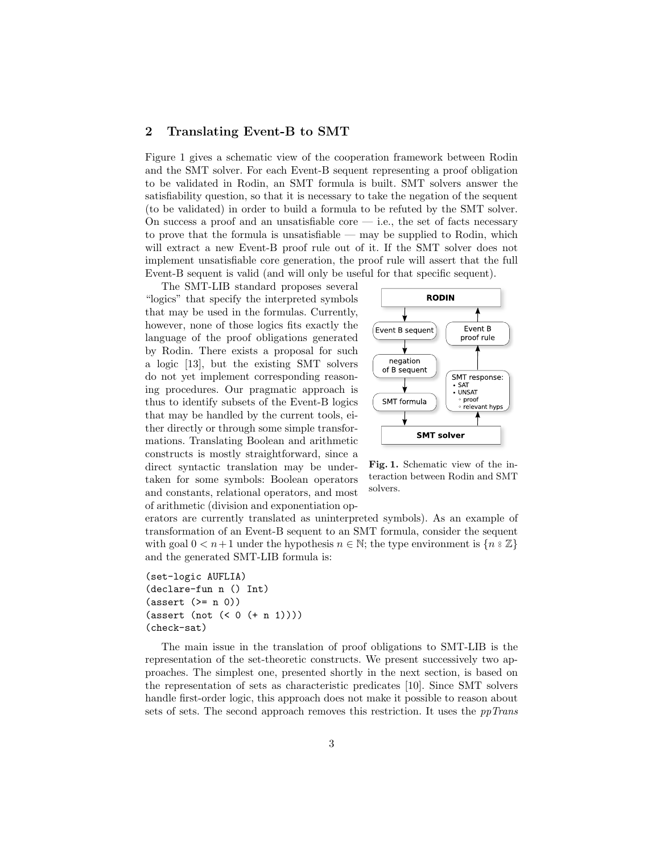## 2 Translating Event-B to SMT

Figure 1 gives a schematic view of the cooperation framework between Rodin and the SMT solver. For each Event-B sequent representing a proof obligation to be validated in Rodin, an SMT formula is built. SMT solvers answer the satisfiability question, so that it is necessary to take the negation of the sequent (to be validated) in order to build a formula to be refuted by the SMT solver. On success a proof and an unsatisfiable core  $-$  i.e., the set of facts necessary to prove that the formula is unsatisfiable — may be supplied to Rodin, which will extract a new Event-B proof rule out of it. If the SMT solver does not implement unsatisfiable core generation, the proof rule will assert that the full Event-B sequent is valid (and will only be useful for that specific sequent).

The SMT-LIB standard proposes several "logics" that specify the interpreted symbols that may be used in the formulas. Currently, however, none of those logics fits exactly the language of the proof obligations generated by Rodin. There exists a proposal for such a logic [13], but the existing SMT solvers do not yet implement corresponding reasoning procedures. Our pragmatic approach is thus to identify subsets of the Event-B logics that may be handled by the current tools, either directly or through some simple transformations. Translating Boolean and arithmetic constructs is mostly straightforward, since a direct syntactic translation may be undertaken for some symbols: Boolean operators and constants, relational operators, and most of arithmetic (division and exponentiation op-



Fig. 1. Schematic view of the interaction between Rodin and SMT solvers.

erators are currently translated as uninterpreted symbols). As an example of transformation of an Event-B sequent to an SMT formula, consider the sequent with goal  $0 < n+1$  under the hypothesis  $n \in \mathbb{N}$ ; the type environment is  $\{n \in \mathbb{Z}\}\$ and the generated SMT-LIB formula is:

```
(set-logic AUFLIA)
(declare-fun n () Int)
(assert (>= n 0))
(assert (not (< 0 (+ n 1))))
(check-sat)
```
The main issue in the translation of proof obligations to SMT-LIB is the representation of the set-theoretic constructs. We present successively two approaches. The simplest one, presented shortly in the next section, is based on the representation of sets as characteristic predicates [10]. Since SMT solvers handle first-order logic, this approach does not make it possible to reason about sets of sets. The second approach removes this restriction. It uses the  $ppTrans$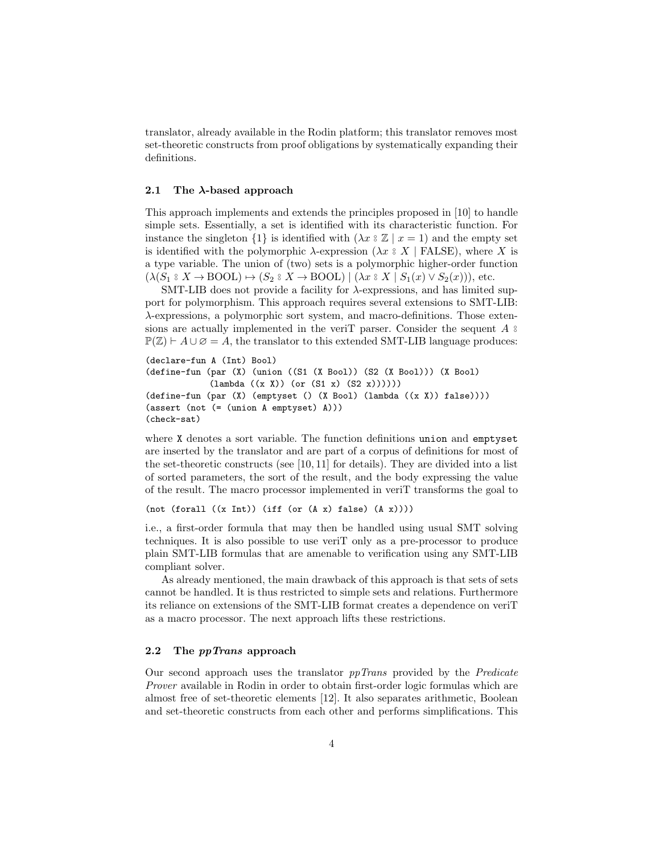translator, already available in the Rodin platform; this translator removes most set-theoretic constructs from proof obligations by systematically expanding their definitions.

#### 2.1 The  $\lambda$ -based approach

This approach implements and extends the principles proposed in [10] to handle simple sets. Essentially, a set is identified with its characteristic function. For instance the singleton  $\{1\}$  is identified with  $(\lambda x \otimes \mathbb{Z} \mid x = 1)$  and the empty set is identified with the polymorphic  $\lambda$ -expression  $(\lambda x \times X \mid \text{FALSE})$ , where X is a type variable. The union of (two) sets is a polymorphic higher-order function  $(\lambda(S_1 \otimes X \to \text{BOOL}) \to (S_2 \otimes X \to \text{BOOL}) \mid (\lambda x \otimes X \mid S_1(x) \vee S_2(x)))$ , etc.

SMT-LIB does not provide a facility for  $\lambda$ -expressions, and has limited support for polymorphism. This approach requires several extensions to SMT-LIB: λ-expressions, a polymorphic sort system, and macro-definitions. Those extensions are actually implemented in the veriT parser. Consider the sequent A  $\delta$  $\mathbb{P}(\mathbb{Z}) \vdash A \cup \emptyset = A$ , the translator to this extended SMT-LIB language produces:

```
(declare-fun A (Int) Bool)
(define-fun (par (X) (union ((S1 (X Bool)) (S2 (X Bool))) (X Bool)
            (lambda ((x X)) (or (S1 x) (S2 x))))(define-fun (par (X) (emptyset () (X Bool) (lambda ((x X)) false))))
(assert (not (= (union A emptyset) A)))
(check-sat)
```
where X denotes a sort variable. The function definitions union and emptyset are inserted by the translator and are part of a corpus of definitions for most of the set-theoretic constructs (see [10, 11] for details). They are divided into a list of sorted parameters, the sort of the result, and the body expressing the value of the result. The macro processor implemented in veriT transforms the goal to

(not (forall  $((x Int))$  (iff (or  $(A x)$  false)  $(A x))$ )

i.e., a first-order formula that may then be handled using usual SMT solving techniques. It is also possible to use veriT only as a pre-processor to produce plain SMT-LIB formulas that are amenable to verification using any SMT-LIB compliant solver.

As already mentioned, the main drawback of this approach is that sets of sets cannot be handled. It is thus restricted to simple sets and relations. Furthermore its reliance on extensions of the SMT-LIB format creates a dependence on veriT as a macro processor. The next approach lifts these restrictions.

#### 2.2 The *ppTrans* approach

Our second approach uses the translator ppTrans provided by the Predicate Prover available in Rodin in order to obtain first-order logic formulas which are almost free of set-theoretic elements [12]. It also separates arithmetic, Boolean and set-theoretic constructs from each other and performs simplifications. This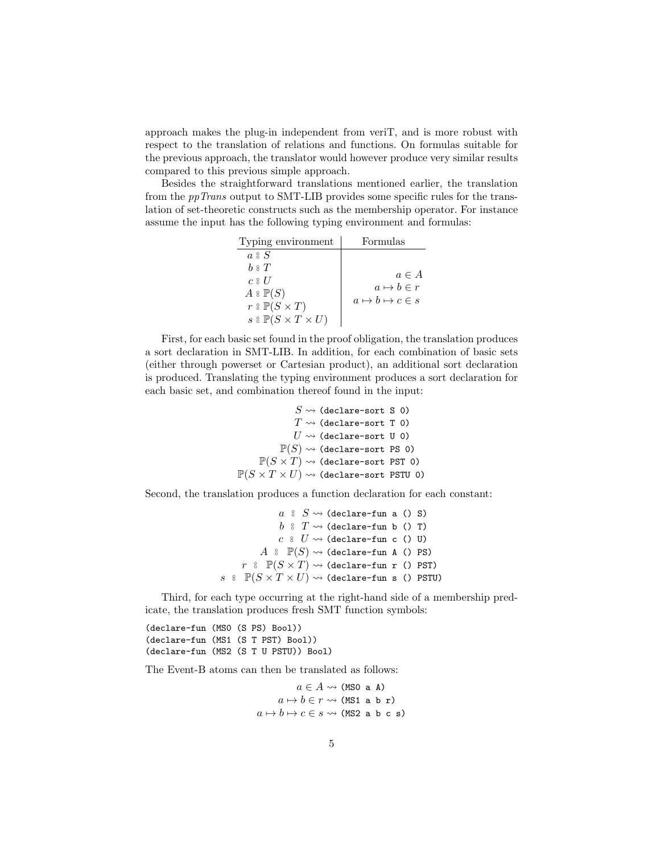approach makes the plug-in independent from veriT, and is more robust with respect to the translation of relations and functions. On formulas suitable for the previous approach, the translator would however produce very similar results compared to this previous simple approach.

Besides the straightforward translations mentioned earlier, the translation from the ppTrans output to SMT-LIB provides some specific rules for the translation of set-theoretic constructs such as the membership operator. For instance assume the input has the following typing environment and formulas:

| Typing environment                   | Formulas                      |
|--------------------------------------|-------------------------------|
| $a \circ S$                          |                               |
| $b \circ T$                          | $a \in A$                     |
| $c \overset{\circ}{\circ} U$         | $a \mapsto b \in r$           |
| $A \circ \mathbb{P}(S)$              | $a \mapsto b \mapsto c \in s$ |
| $r \circ \mathbb{P}(S \times T)$     |                               |
| s: $\mathbb{P}(S \times T \times U)$ |                               |

First, for each basic set found in the proof obligation, the translation produces a sort declaration in SMT-LIB. In addition, for each combination of basic sets (either through powerset or Cartesian product), an additional sort declaration is produced. Translating the typing environment produces a sort declaration for each basic set, and combination thereof found in the input:

```
S \rightsquigarrow (declare-sort S 0)
                    T \rightsquigarrow (declare-sort T 0)
                    U \rightsquigarrow (declare-sort U 0)
               \mathbb{P}(S) \rightsquigarrow (declare-sort PS 0)
       \mathbb{P}(S \times T) \rightsquigarrow (declare-sort PST 0)
\mathbb{P}(S \times T \times U) \rightsquigarrow (declare-sort PSTU 0)
```
Second, the translation produces a function declaration for each constant:

 $a \text{ } S \rightarrow \text{ (declare-fun a () S)}$  $b \text{ } T \rightarrow \text{ (declare-fun b () T)}$  $c \text{ } \overset{\circ}{\circ} \text{ } U \leadsto (\text{declare-fun c () U})$  $A \cong \mathbb{P}(S) \rightsquigarrow$  (declare-fun A () PS)  $r$  %  $\mathbb{P}(S \times T) \rightsquigarrow$  (declare-fun r () PST)  $s$  &  $\mathbb{P}(S \times T \times U) \rightsquigarrow$  (declare-fun s () PSTU)

Third, for each type occurring at the right-hand side of a membership predicate, the translation produces fresh SMT function symbols:

(declare-fun (MS0 (S PS) Bool)) (declare-fun (MS1 (S T PST) Bool)) (declare-fun (MS2 (S T U PSTU)) Bool)

The Event-B atoms can then be translated as follows:

$$
a \in A \rightsquigarrow (\text{MSO a A})
$$

$$
a \mapsto b \in r \rightsquigarrow (\text{MS1 a b r})
$$

$$
a \mapsto b \mapsto c \in s \rightsquigarrow (\text{MS2 a b c s})
$$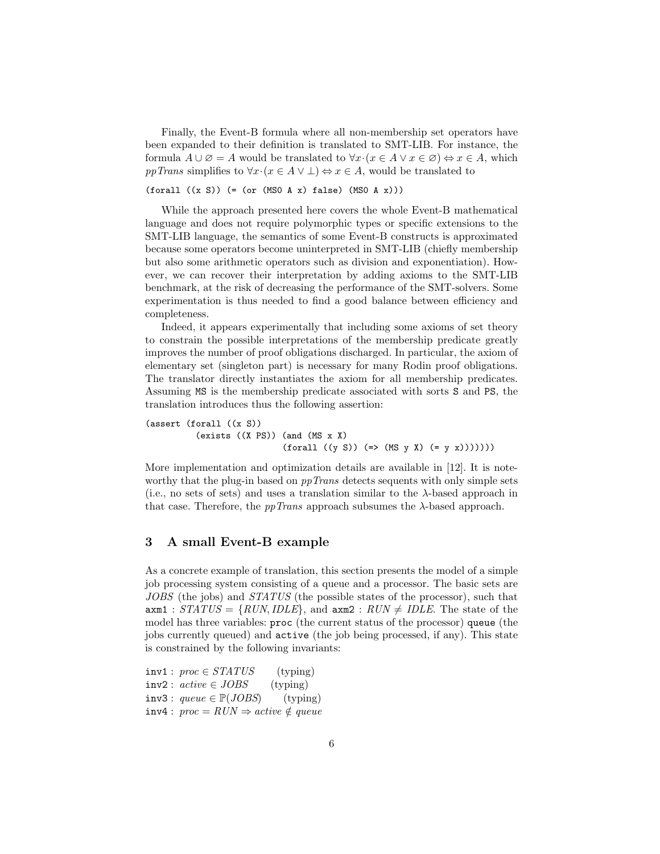Finally, the Event-B formula where all non-membership set operators have been expanded to their definition is translated to SMT-LIB. For instance, the formula  $A \cup \emptyset = A$  would be translated to  $\forall x \cdot (x \in A \lor x \in \emptyset) \Leftrightarrow x \in A$ , which ppTrans simplifies to  $\forall x \cdot (x \in A \lor \bot) \Leftrightarrow x \in A$ , would be translated to

 $(forall ((x S)) (= (or (MS0 A x) false) (MS0 A x)))$ 

While the approach presented here covers the whole Event-B mathematical language and does not require polymorphic types or specific extensions to the SMT-LIB language, the semantics of some Event-B constructs is approximated because some operators become uninterpreted in SMT-LIB (chiefly membership but also some arithmetic operators such as division and exponentiation). However, we can recover their interpretation by adding axioms to the SMT-LIB benchmark, at the risk of decreasing the performance of the SMT-solvers. Some experimentation is thus needed to find a good balance between efficiency and completeness.

Indeed, it appears experimentally that including some axioms of set theory to constrain the possible interpretations of the membership predicate greatly improves the number of proof obligations discharged. In particular, the axiom of elementary set (singleton part) is necessary for many Rodin proof obligations. The translator directly instantiates the axiom for all membership predicates. Assuming MS is the membership predicate associated with sorts S and PS, the translation introduces thus the following assertion:

```
(assert (forall ((x S))
          (exists ((X PS)) (and (MS x X))
                            (forall ((y S)) (= > (MS y X) (= y x)))))))
```
More implementation and optimization details are available in [12]. It is noteworthy that the plug-in based on  $ppTrans$  detects sequents with only simple sets (i.e., no sets of sets) and uses a translation similar to the  $\lambda$ -based approach in that case. Therefore, the  $ppTrans$  approach subsumes the  $\lambda$ -based approach.

## 3 A small Event-B example

As a concrete example of translation, this section presents the model of a simple job processing system consisting of a queue and a processor. The basic sets are JOBS (the jobs) and STATUS (the possible states of the processor), such that  $\texttt{axm1}: STATUS = \{RUN, IDLE\}, \text{ and } \texttt{axm2}: RUN \neq IDLE. \text{ The state of the }$ model has three variables: proc (the current status of the processor) queue (the jobs currently queued) and active (the job being processed, if any). This state is constrained by the following invariants:

 $inv1: proc \in STATUS$  (typing)  $inv2: active \in JOBS$  (typing)  $inv3: queue \in \mathbb{P}(JOBS)$  (typing)  $inv4: proc = RUN \Rightarrow active \notin queue$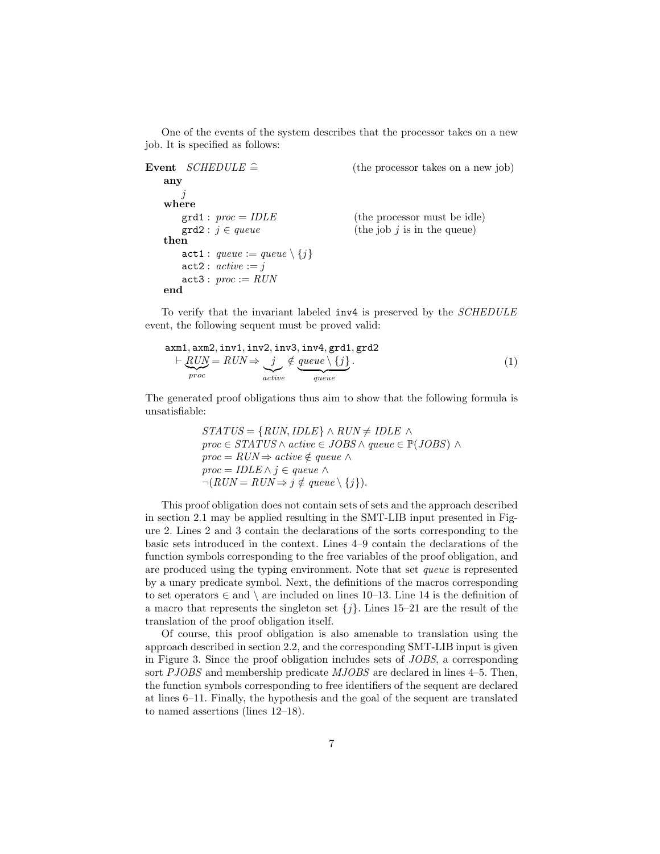One of the events of the system describes that the processor takes on a new job. It is specified as follows:

**Event**  $SCHEDULE \cong$  (the processor takes on a new job) any <sup>1</sup> where  $\text{grad1}: \text{proc} = \text{IDLE}$  (the processor must be idle)  $\text{grad2}: j \in queue$  (the job j is in the queue) then  $\texttt{act1}: queue := queue \setminus \{j\}$  $\texttt{act2}: \textit{active} := j$  $act3: proc := RUN$ end

To verify that the invariant labeled inv4 is preserved by the SCHEDULE event, the following sequent must be proved valid:

$$
\begin{array}{ll}\n\text{axm1, axm2, inv1, inv2, inv3, inv4, gr41, gr42} \\
&\vdash \underbrace{RUN}_{proc} = RUN \Rightarrow \underbrace{j}_{active} \notin \underbrace{queue \setminus \{j\}}_{queue}.\n\end{array} \tag{1}
$$

The generated proof obligations thus aim to show that the following formula is unsatisfiable:

$$
STATUS = \{RUN, IDLE\} \land RUN \neq IDLE \land
$$
  
\n
$$
proc \in STATUS \land active \in JOBS \land queue \in \mathbb{P}(JOBS) \land
$$
  
\n
$$
proc = RUN \Rightarrow active \notin queue \land
$$
  
\n
$$
proc = IDLE \land j \in queue \land
$$
  
\n
$$
\neg(RUN = RUN \Rightarrow j \notin queue \setminus \{j\}).
$$

This proof obligation does not contain sets of sets and the approach described in section 2.1 may be applied resulting in the SMT-LIB input presented in Figure 2. Lines 2 and 3 contain the declarations of the sorts corresponding to the basic sets introduced in the context. Lines 4–9 contain the declarations of the function symbols corresponding to the free variables of the proof obligation, and are produced using the typing environment. Note that set queue is represented by a unary predicate symbol. Next, the definitions of the macros corresponding to set operators  $\in$  and  $\setminus$  are included on lines 10–13. Line 14 is the definition of a macro that represents the singleton set  $\{j\}$ . Lines 15–21 are the result of the translation of the proof obligation itself.

Of course, this proof obligation is also amenable to translation using the approach described in section 2.2, and the corresponding SMT-LIB input is given in Figure 3. Since the proof obligation includes sets of JOBS, a corresponding sort *PJOBS* and membership predicate *MJOBS* are declared in lines 4–5. Then, the function symbols corresponding to free identifiers of the sequent are declared at lines 6–11. Finally, the hypothesis and the goal of the sequent are translated to named assertions (lines 12–18).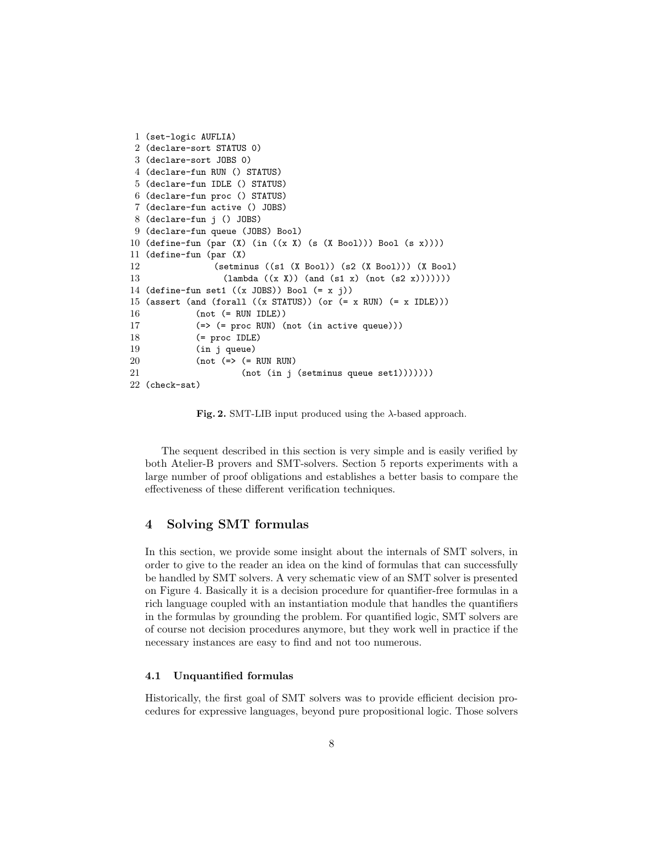```
1 (set-logic AUFLIA)
2 (declare-sort STATUS 0)
3 (declare-sort JOBS 0)
4 (declare-fun RUN () STATUS)
5 (declare-fun IDLE () STATUS)
6 (declare-fun proc () STATUS)
7 (declare-fun active () JOBS)
8 (declare-fun j () JOBS)
9 (declare-fun queue (JOBS) Bool)
10 (define-fun (par (X) (in ((x X) (s (X Boo1))) Bool (s x)))11 (define-fun (par (X)
12 (setminus ((s1 (X Bool)) (s2 (X Bool))) (X Bool)
13 (lambda ((x X)) (and (s1 x) (not (s2 x))))))
14 (define-fun set1 ((x JOBS)) Bool (= x j))
15 (assert (and (forall ((x STATUS)) (or (= x RUN) (= x IDLE)))
16 (not (= RUN IDLE))<br>17 (=> (= proc RUN) (
            (=> (= proc RUN) (not (in active queue)))18 (= proc IDLE)
19 (in j queue)
20 (not (=> (= RUN RUN)
21 (not (in j (setminus queue set1)))))))
22 (check-sat)
```
Fig. 2. SMT-LIB input produced using the  $\lambda$ -based approach.

The sequent described in this section is very simple and is easily verified by both Atelier-B provers and SMT-solvers. Section 5 reports experiments with a large number of proof obligations and establishes a better basis to compare the effectiveness of these different verification techniques.

## 4 Solving SMT formulas

In this section, we provide some insight about the internals of SMT solvers, in order to give to the reader an idea on the kind of formulas that can successfully be handled by SMT solvers. A very schematic view of an SMT solver is presented on Figure 4. Basically it is a decision procedure for quantifier-free formulas in a rich language coupled with an instantiation module that handles the quantifiers in the formulas by grounding the problem. For quantified logic, SMT solvers are of course not decision procedures anymore, but they work well in practice if the necessary instances are easy to find and not too numerous.

#### 4.1 Unquantified formulas

Historically, the first goal of SMT solvers was to provide efficient decision procedures for expressive languages, beyond pure propositional logic. Those solvers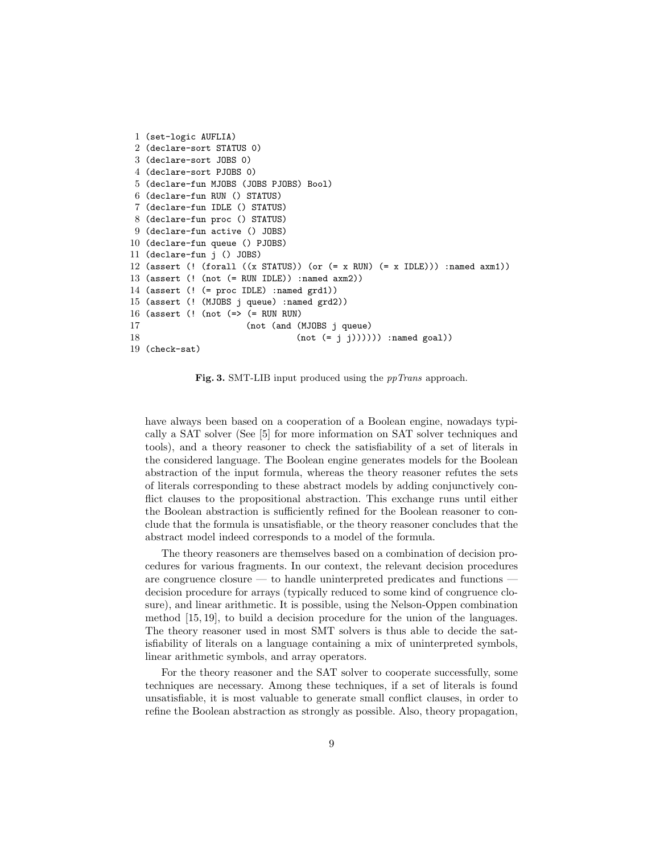```
1 (set-logic AUFLIA)
2 (declare-sort STATUS 0)
3 (declare-sort JOBS 0)
4 (declare-sort PJOBS 0)
5 (declare-fun MJOBS (JOBS PJOBS) Bool)
6 (declare-fun RUN () STATUS)
7 (declare-fun IDLE () STATUS)
8 (declare-fun proc () STATUS)
9 (declare-fun active () JOBS)
10 (declare-fun queue () PJOBS)
11 (declare-fun j () JOBS)
12 (assert (! (forall ((x STATUS)) (or (= x RUN) (= x IDLE))) :named axm1))
13 (assert (! (not (= RUN IDLE)) :named axm2))
14 (assert (! (= proc IDLE) :named grd1))
15 (assert (! (MJOBS j queue) :named grd2))
16 (assert (! (not (=> (= RUN RUN)<br>17 (not (and (
                       (not (and (MJOBS j queue)
18 (not (= j j))))))) : named goal))
19 (check-sat)
```
Fig. 3. SMT-LIB input produced using the *ppTrans* approach.

have always been based on a cooperation of a Boolean engine, nowadays typically a SAT solver (See [5] for more information on SAT solver techniques and tools), and a theory reasoner to check the satisfiability of a set of literals in the considered language. The Boolean engine generates models for the Boolean abstraction of the input formula, whereas the theory reasoner refutes the sets of literals corresponding to these abstract models by adding conjunctively conflict clauses to the propositional abstraction. This exchange runs until either the Boolean abstraction is sufficiently refined for the Boolean reasoner to conclude that the formula is unsatisfiable, or the theory reasoner concludes that the abstract model indeed corresponds to a model of the formula.

The theory reasoners are themselves based on a combination of decision procedures for various fragments. In our context, the relevant decision procedures are congruence closure  $-$  to handle uninterpreted predicates and functions decision procedure for arrays (typically reduced to some kind of congruence closure), and linear arithmetic. It is possible, using the Nelson-Oppen combination method [15, 19], to build a decision procedure for the union of the languages. The theory reasoner used in most SMT solvers is thus able to decide the satisfiability of literals on a language containing a mix of uninterpreted symbols, linear arithmetic symbols, and array operators.

For the theory reasoner and the SAT solver to cooperate successfully, some techniques are necessary. Among these techniques, if a set of literals is found unsatisfiable, it is most valuable to generate small conflict clauses, in order to refine the Boolean abstraction as strongly as possible. Also, theory propagation,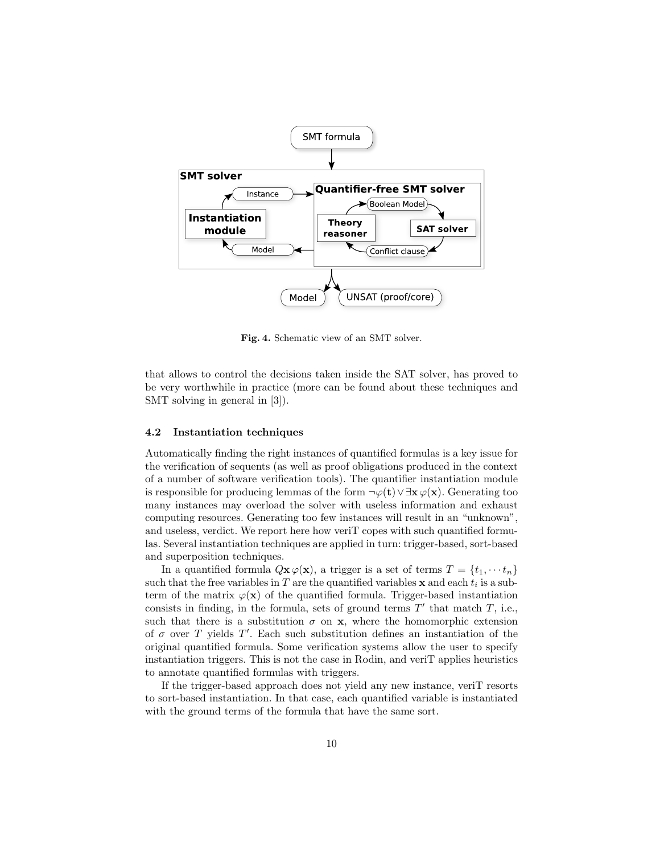

Fig. 4. Schematic view of an SMT solver.

that allows to control the decisions taken inside the SAT solver, has proved to be very worthwhile in practice (more can be found about these techniques and SMT solving in general in [3]).

#### 4.2 Instantiation techniques

Automatically finding the right instances of quantified formulas is a key issue for the verification of sequents (as well as proof obligations produced in the context of a number of software verification tools). The quantifier instantiation module is responsible for producing lemmas of the form  $\neg \varphi(t) \vee \exists x \varphi(x)$ . Generating too many instances may overload the solver with useless information and exhaust computing resources. Generating too few instances will result in an "unknown", and useless, verdict. We report here how veriT copes with such quantified formulas. Several instantiation techniques are applied in turn: trigger-based, sort-based and superposition techniques.

In a quantified formula  $Q\mathbf{x}\varphi(\mathbf{x})$ , a trigger is a set of terms  $T = \{t_1, \dots, t_n\}$ such that the free variables in T are the quantified variables **x** and each  $t_i$  is a subterm of the matrix  $\varphi(\mathbf{x})$  of the quantified formula. Trigger-based instantiation consists in finding, in the formula, sets of ground terms  $T'$  that match  $T$ , i.e., such that there is a substitution  $\sigma$  on **x**, where the homomorphic extension of  $\sigma$  over T yields T'. Each such substitution defines an instantiation of the original quantified formula. Some verification systems allow the user to specify instantiation triggers. This is not the case in Rodin, and veriT applies heuristics to annotate quantified formulas with triggers.

If the trigger-based approach does not yield any new instance, veriT resorts to sort-based instantiation. In that case, each quantified variable is instantiated with the ground terms of the formula that have the same sort.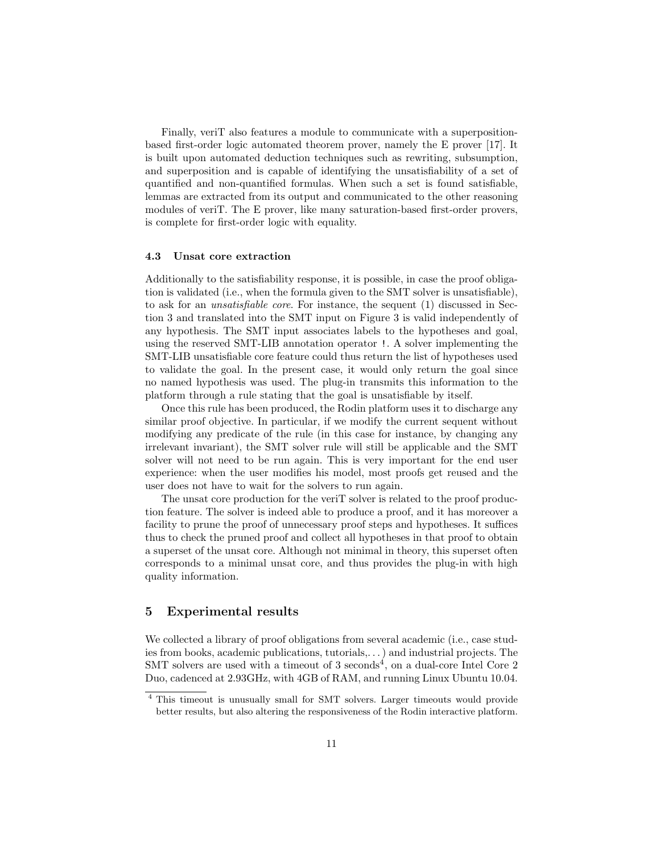Finally, veriT also features a module to communicate with a superpositionbased first-order logic automated theorem prover, namely the E prover [17]. It is built upon automated deduction techniques such as rewriting, subsumption, and superposition and is capable of identifying the unsatisfiability of a set of quantified and non-quantified formulas. When such a set is found satisfiable, lemmas are extracted from its output and communicated to the other reasoning modules of veriT. The E prover, like many saturation-based first-order provers, is complete for first-order logic with equality.

#### 4.3 Unsat core extraction

Additionally to the satisfiability response, it is possible, in case the proof obligation is validated (i.e., when the formula given to the SMT solver is unsatisfiable), to ask for an unsatisfiable core. For instance, the sequent (1) discussed in Section 3 and translated into the SMT input on Figure 3 is valid independently of any hypothesis. The SMT input associates labels to the hypotheses and goal, using the reserved SMT-LIB annotation operator !. A solver implementing the SMT-LIB unsatisfiable core feature could thus return the list of hypotheses used to validate the goal. In the present case, it would only return the goal since no named hypothesis was used. The plug-in transmits this information to the platform through a rule stating that the goal is unsatisfiable by itself.

Once this rule has been produced, the Rodin platform uses it to discharge any similar proof objective. In particular, if we modify the current sequent without modifying any predicate of the rule (in this case for instance, by changing any irrelevant invariant), the SMT solver rule will still be applicable and the SMT solver will not need to be run again. This is very important for the end user experience: when the user modifies his model, most proofs get reused and the user does not have to wait for the solvers to run again.

The unsat core production for the veriT solver is related to the proof production feature. The solver is indeed able to produce a proof, and it has moreover a facility to prune the proof of unnecessary proof steps and hypotheses. It suffices thus to check the pruned proof and collect all hypotheses in that proof to obtain a superset of the unsat core. Although not minimal in theory, this superset often corresponds to a minimal unsat core, and thus provides the plug-in with high quality information.

## 5 Experimental results

We collected a library of proof obligations from several academic (i.e., case studies from books, academic publications, tutorials,. . . ) and industrial projects. The SMT solvers are used with a timeout of 3 seconds<sup>4</sup>, on a dual-core Intel Core 2 Duo, cadenced at 2.93GHz, with 4GB of RAM, and running Linux Ubuntu 10.04.

<sup>4</sup> This timeout is unusually small for SMT solvers. Larger timeouts would provide better results, but also altering the responsiveness of the Rodin interactive platform.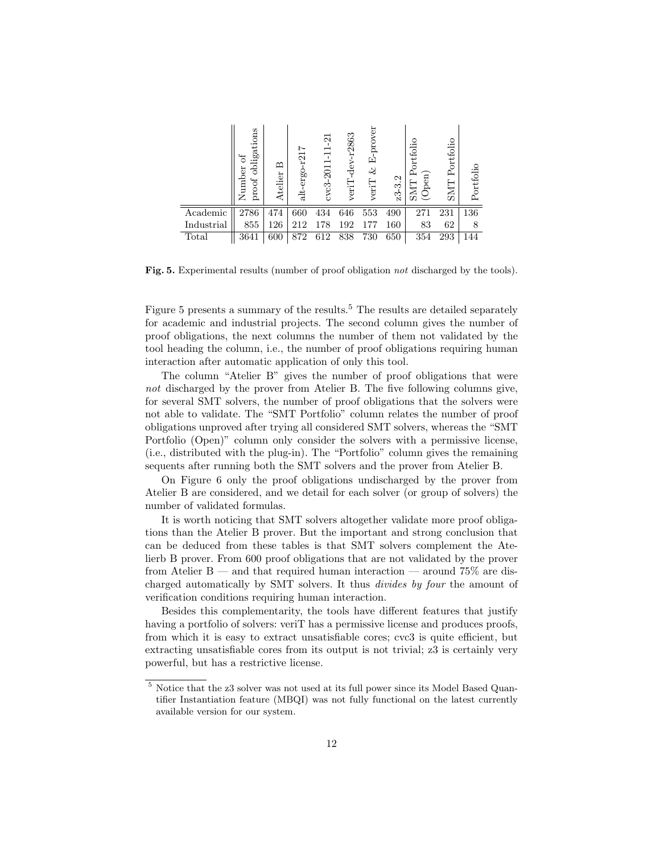|            | obligations<br>್<br>Number<br>proof | മ<br>Atelier | Ņ<br>r21<br>alt-ergo- | $\overline{\mathbf{z}}$<br>$\Box$<br>2011<br>್ರೆ<br>3 | $-12863$<br>đeν<br>veriT | ver<br>pro<br>囜<br>$\infty$<br>veriT | 2<br>က်<br>$23 -$ | Portfoli<br>$p$ en $)$<br>E<br>w | ortfolio<br>≏<br>NS | Portfolio |
|------------|-------------------------------------|--------------|-----------------------|-------------------------------------------------------|--------------------------|--------------------------------------|-------------------|----------------------------------|---------------------|-----------|
| Academic   | 2786                                | 474          | 660                   | 434                                                   | 646                      | 553                                  | 490               | 271                              | 231                 | 136       |
| Industrial | 855                                 | 126          | 212                   | 178                                                   | 192                      | 177                                  | 160               | 83                               | 62                  |           |
| Total      | 3641                                | 600          | 872                   | 612                                                   | 838                      | 730                                  | 650               | 354                              | 293                 | 144       |

Fig. 5. Experimental results (number of proof obligation *not* discharged by the tools).

Figure 5 presents a summary of the results.<sup>5</sup> The results are detailed separately for academic and industrial projects. The second column gives the number of proof obligations, the next columns the number of them not validated by the tool heading the column, i.e., the number of proof obligations requiring human interaction after automatic application of only this tool.

The column "Atelier B" gives the number of proof obligations that were not discharged by the prover from Atelier B. The five following columns give, for several SMT solvers, the number of proof obligations that the solvers were not able to validate. The "SMT Portfolio" column relates the number of proof obligations unproved after trying all considered SMT solvers, whereas the "SMT Portfolio (Open)" column only consider the solvers with a permissive license, (i.e., distributed with the plug-in). The "Portfolio" column gives the remaining sequents after running both the SMT solvers and the prover from Atelier B.

On Figure 6 only the proof obligations undischarged by the prover from Atelier B are considered, and we detail for each solver (or group of solvers) the number of validated formulas.

It is worth noticing that SMT solvers altogether validate more proof obligations than the Atelier B prover. But the important and strong conclusion that can be deduced from these tables is that SMT solvers complement the Atelierb B prover. From 600 proof obligations that are not validated by the prover from Atelier B — and that required human interaction — around 75% are discharged automatically by SMT solvers. It thus divides by four the amount of verification conditions requiring human interaction.

Besides this complementarity, the tools have different features that justify having a portfolio of solvers: veriT has a permissive license and produces proofs, from which it is easy to extract unsatisfiable cores; cvc3 is quite efficient, but extracting unsatisfiable cores from its output is not trivial; z3 is certainly very powerful, but has a restrictive license.

<sup>5</sup> Notice that the z3 solver was not used at its full power since its Model Based Quantifier Instantiation feature (MBQI) was not fully functional on the latest currently available version for our system.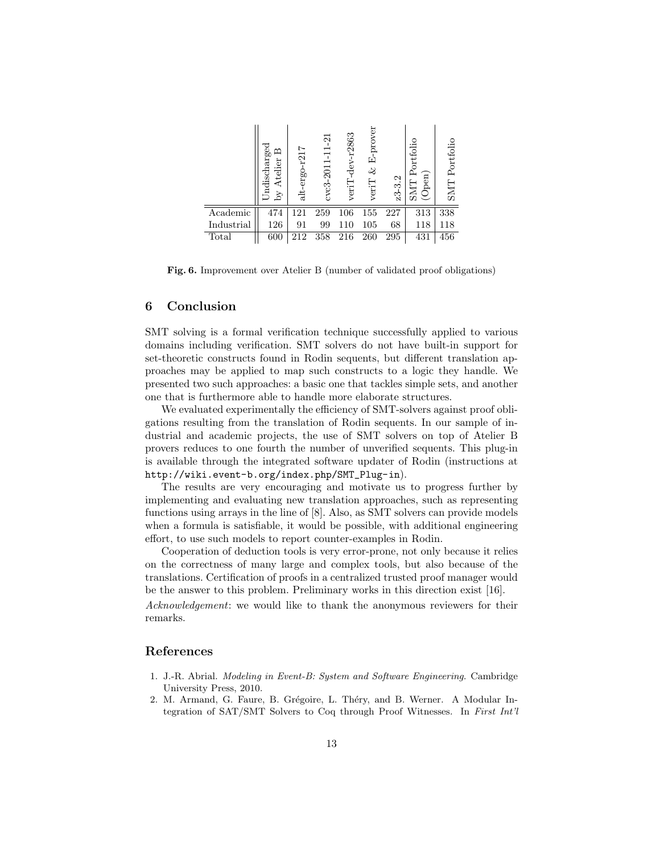|            | Undischarged<br>≃<br>Atelier<br>ত্ৰ | $-1217$<br>alt-ergo | $\Xi$<br>cvc3-2011-11- | $-12863$<br>$\det$<br>veri <sup>T</sup> - | prover<br>囸<br>veriT | $\mathbf{\Omega}$<br>က်<br>$23 -$ | Portfoli<br>pen)<br><br>Ω | Portfolio<br><b>ENS</b> |
|------------|-------------------------------------|---------------------|------------------------|-------------------------------------------|----------------------|-----------------------------------|---------------------------|-------------------------|
| Academic   | 474                                 | 121                 | 259                    | 106                                       | 155                  | 227                               | 313                       | 338                     |
| Industrial | 126                                 | 91                  | 99                     | 110                                       | 105                  | 68                                | 118                       | 118                     |
| Total      | 600                                 | 212                 | 358                    | 216                                       | 260                  | 295                               | 431                       | 456                     |

Fig. 6. Improvement over Atelier B (number of validated proof obligations)

#### 6 Conclusion

SMT solving is a formal verification technique successfully applied to various domains including verification. SMT solvers do not have built-in support for set-theoretic constructs found in Rodin sequents, but different translation approaches may be applied to map such constructs to a logic they handle. We presented two such approaches: a basic one that tackles simple sets, and another one that is furthermore able to handle more elaborate structures.

We evaluated experimentally the efficiency of SMT-solvers against proof obligations resulting from the translation of Rodin sequents. In our sample of industrial and academic projects, the use of SMT solvers on top of Atelier B provers reduces to one fourth the number of unverified sequents. This plug-in is available through the integrated software updater of Rodin (instructions at http://wiki.event-b.org/index.php/SMT\_Plug-in).

The results are very encouraging and motivate us to progress further by implementing and evaluating new translation approaches, such as representing functions using arrays in the line of [8]. Also, as SMT solvers can provide models when a formula is satisfiable, it would be possible, with additional engineering effort, to use such models to report counter-examples in Rodin.

Cooperation of deduction tools is very error-prone, not only because it relies on the correctness of many large and complex tools, but also because of the translations. Certification of proofs in a centralized trusted proof manager would be the answer to this problem. Preliminary works in this direction exist [16].

Acknowledgement: we would like to thank the anonymous reviewers for their remarks.

### References

- 1. J.-R. Abrial. Modeling in Event-B: System and Software Engineering. Cambridge University Press, 2010.
- 2. M. Armand, G. Faure, B. Grégoire, L. Théry, and B. Werner. A Modular Integration of SAT/SMT Solvers to Coq through Proof Witnesses. In First Int'l